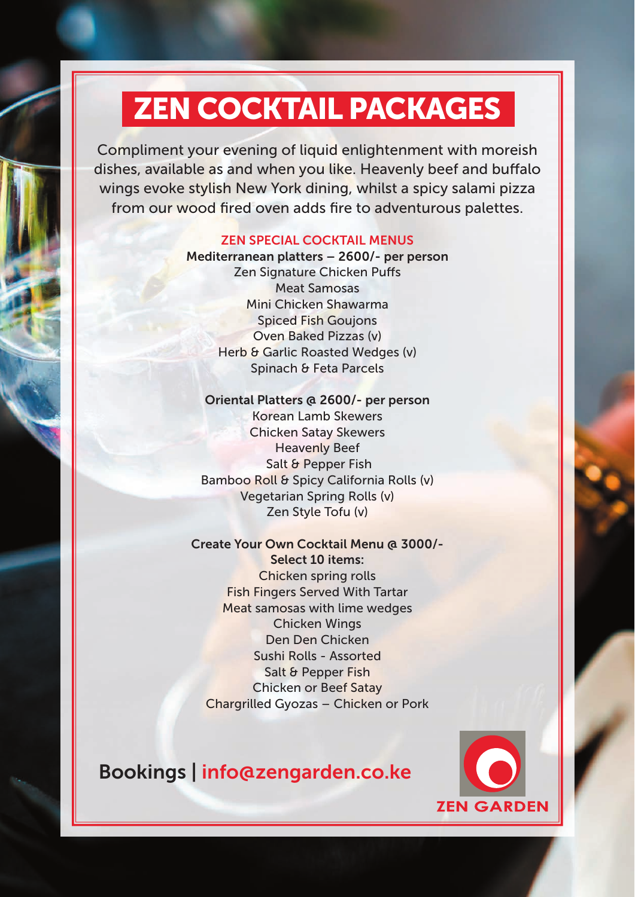Compliment your evening of liquid enlightenment with moreish dishes, available as and when you like. Heavenly beef and buffalo wings evoke stylish New York dining, whilst a spicy salami pizza from our wood fired oven adds fire to adventurous palettes.

### ZEN SPECIAL COCKTAIL MENUS

Mediterranean platters – 2600/- per person Zen Signature Chicken Puffs Meat Samosas Mini Chicken Shawarma Spiced Fish Goujons Oven Baked Pizzas (v) Herb & Garlic Roasted Wedges (v) Spinach & Feta Parcels

#### Oriental Platters @ 2600/- per person

Korean Lamb Skewers Chicken Satay Skewers Heavenly Beef Salt & Pepper Fish Bamboo Roll & Spicy California Rolls (v) Vegetarian Spring Rolls (v) Zen Style Tofu (v)

### Create Your Own Cocktail Menu @ 3000/-

Select 10 items: Chicken spring rolls Fish Fingers Served With Tartar Meat samosas with lime wedges Chicken Wings Den Den Chicken Sushi Rolls - Assorted Salt & Pepper Fish Chicken or Beef Satay Chargrilled Gyozas – Chicken or Pork

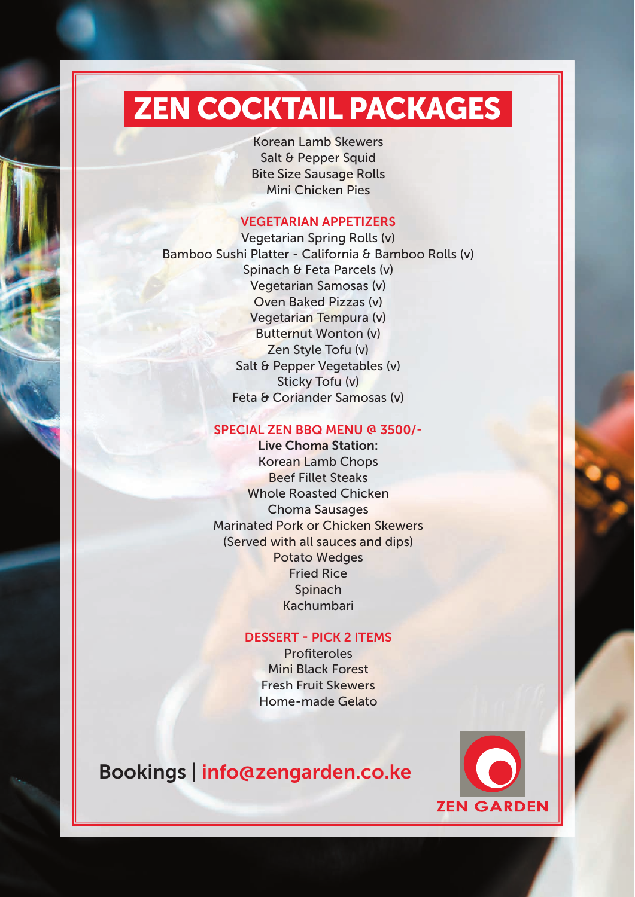Korean Lamb Skewers Salt & Pepper Squid Bite Size Sausage Rolls Mini Chicken Pies

### VEGETARIAN APPETIZERS

Vegetarian Spring Rolls (v) Bamboo Sushi Platter - California & Bamboo Rolls (v) Spinach & Feta Parcels (v) Vegetarian Samosas (v) Oven Baked Pizzas (v) Vegetarian Tempura (v) Butternut Wonton (v) Zen Style Tofu (v) Salt & Pepper Vegetables (v) Sticky Tofu (v) Feta & Coriander Samosas (v)

### SPECIAL ZEN BBQ MENU @ 3500/-

Live Choma Station: Korean Lamb Chops Beef Fillet Steaks Whole Roasted Chicken Choma Sausages Marinated Pork or Chicken Skewers (Served with all sauces and dips) Potato Wedges Fried Rice **Spinach** Kachumbari

### DESSERT - PICK 2 ITEMS

Profiteroles Mini Black Forest Fresh Fruit Skewers Home-made Gelato

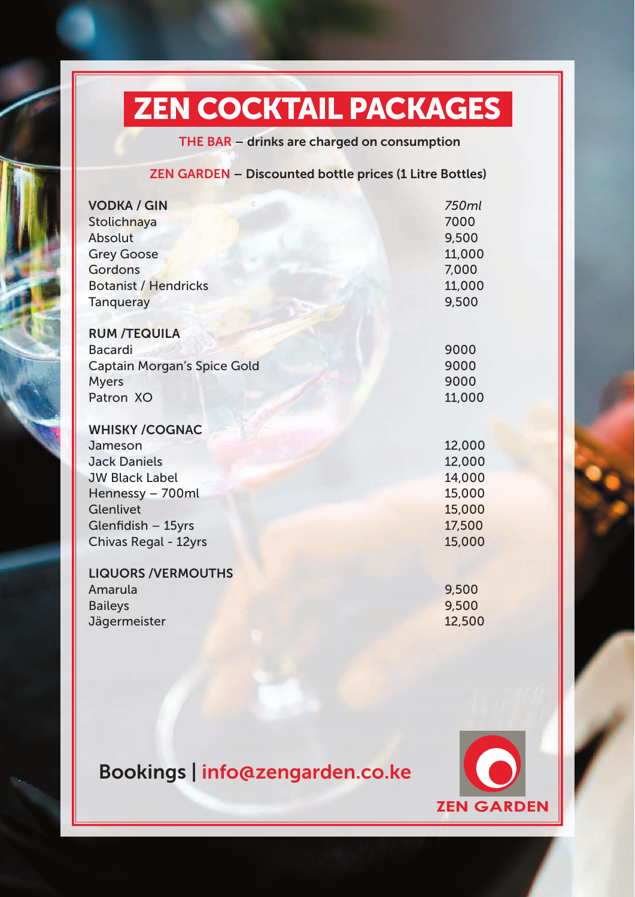THE BAR – drinks are charged on consumption

### ZEN GARDEN – Discounted bottle prices (1 Litre Bottles)

| <b>VODKA / GIN</b><br>Stolichnaya<br><b>Absolut</b><br><b>Grey Goose</b><br>Gordons<br><b>Botanist / Hendricks</b><br><b>Tanqueray</b>                                 | 750ml<br>7000<br>9,500<br>11,000<br>7,000<br>11,000<br>9,500       |
|------------------------------------------------------------------------------------------------------------------------------------------------------------------------|--------------------------------------------------------------------|
| <b>RUM /TEQUILA</b>                                                                                                                                                    |                                                                    |
| <b>Bacardi</b>                                                                                                                                                         | 9000                                                               |
| <b>Captain Morgan's Spice Gold</b>                                                                                                                                     | 9000                                                               |
| <b>Myers</b>                                                                                                                                                           | 9000                                                               |
| Patron XO                                                                                                                                                              | 11,000                                                             |
| <b>WHISKY /COGNAC</b><br>Jameson<br><b>Jack Daniels</b><br><b>JW Black Label</b><br>Hennessy - 700ml<br>Glenlivet<br>Glenfidish - 15yrs<br><b>Chivas Regal - 12yrs</b> | 12,000<br>12,000<br>14,000<br>15,000<br>15,000<br>17,500<br>15,000 |
| <b>LIQUORS /VERMOUTHS</b><br>Amarula<br><b>Baileys</b><br>Jägermeister                                                                                                 | 9,500<br>9,500<br>12,500                                           |

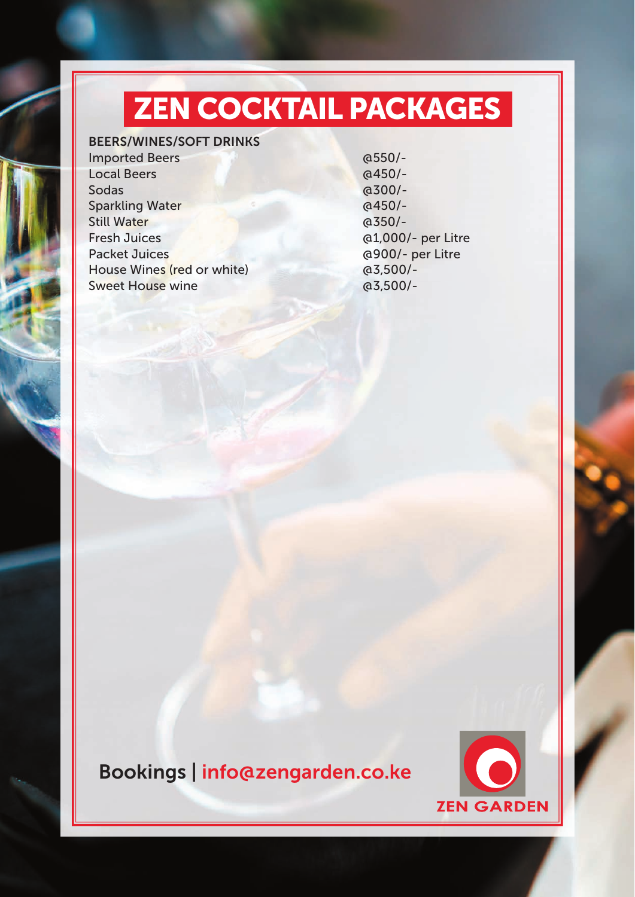### BEERS/WINES/SOFT DRINKS

Imported Beers @550/-Local Beers @450/-Sodas @300/-Sparkling Water @ 6450/-Still Water @350/-Fresh Juices @1,000/- per Litre Packet Juices @900/- per Litre House Wines (red or white) @3,500/- Sweet House wine and a control of the control of the control of the control of the control of the control of the control of the control of the control of the control of the control of the control of the control of the cont